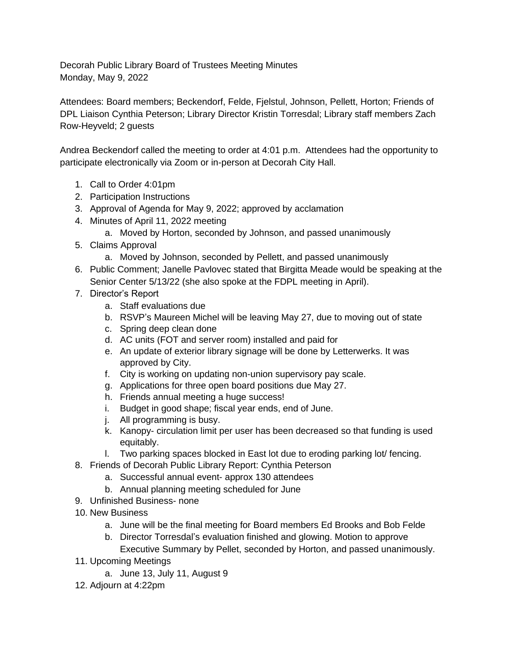Decorah Public Library Board of Trustees Meeting Minutes Monday, May 9, 2022

Attendees: Board members; Beckendorf, Felde, Fjelstul, Johnson, Pellett, Horton; Friends of DPL Liaison Cynthia Peterson; Library Director Kristin Torresdal; Library staff members Zach Row-Heyveld; 2 guests

Andrea Beckendorf called the meeting to order at 4:01 p.m. Attendees had the opportunity to participate electronically via Zoom or in-person at Decorah City Hall.

- 1. Call to Order 4:01pm
- 2. Participation Instructions
- 3. Approval of Agenda for May 9, 2022; approved by acclamation
- 4. Minutes of April 11, 2022 meeting
	- a. Moved by Horton, seconded by Johnson, and passed unanimously
- 5. Claims Approval
	- a. Moved by Johnson, seconded by Pellett, and passed unanimously
- 6. Public Comment; Janelle Pavlovec stated that Birgitta Meade would be speaking at the Senior Center 5/13/22 (she also spoke at the FDPL meeting in April).
- 7. Director's Report
	- a. Staff evaluations due
	- b. RSVP's Maureen Michel will be leaving May 27, due to moving out of state
	- c. Spring deep clean done
	- d. AC units (FOT and server room) installed and paid for
	- e. An update of exterior library signage will be done by Letterwerks. It was approved by City.
	- f. City is working on updating non-union supervisory pay scale.
	- g. Applications for three open board positions due May 27.
	- h. Friends annual meeting a huge success!
	- i. Budget in good shape; fiscal year ends, end of June.
	- j. All programming is busy.
	- k. Kanopy- circulation limit per user has been decreased so that funding is used equitably.
	- l. Two parking spaces blocked in East lot due to eroding parking lot/ fencing.
- 8. Friends of Decorah Public Library Report: Cynthia Peterson
	- a. Successful annual event- approx 130 attendees
	- b. Annual planning meeting scheduled for June
- 9. Unfinished Business- none
- 10. New Business
	- a. June will be the final meeting for Board members Ed Brooks and Bob Felde
	- b. Director Torresdal's evaluation finished and glowing. Motion to approve Executive Summary by Pellet, seconded by Horton, and passed unanimously.
- 11. Upcoming Meetings
	- a. June 13, July 11, August 9
- 12. Adjourn at 4:22pm